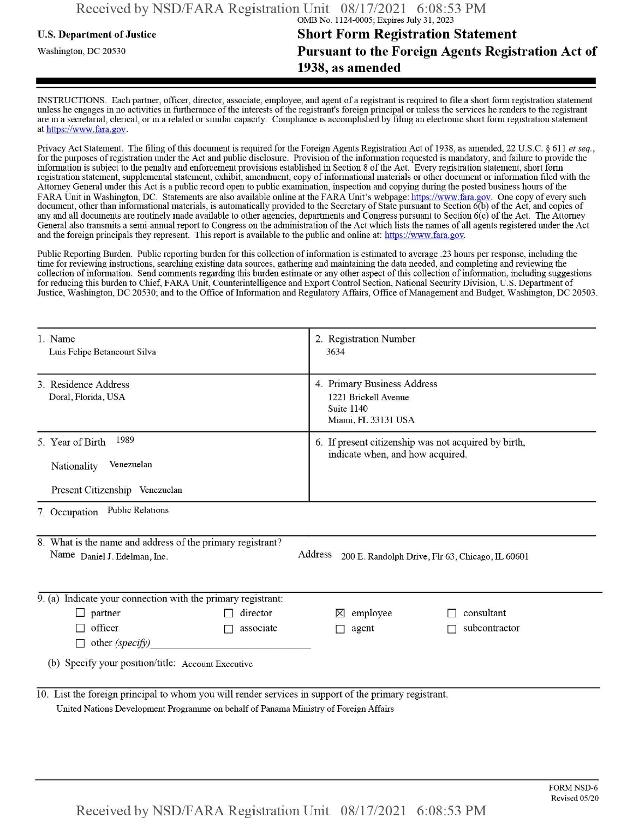## u.s. Department ofJustice **Short Form Registration Statement** Washington, dc <sup>20530</sup>**Pursuant to the Foreign Agents Registration Act of 1938, as amended**

INSTRUCTIONS. Each partner, officer, director, associate, employee, and agent of a registrant is required to file a short form registration statement unless he engages in no activities in furtherance ofthe interests ofthe registrant's foreign principal or unless the services he renders to the registrant are in a secretarial, clerical, or in a related or similar capacity. Compliance is accomplished by filing an electronic short form registration statement at https://www.fara.gov.

Privacy Act Statement. The filing of this document is required for the Foreign Agents Registration Act of 1938, as amended, 22 U.S.C. § 611 et seq., for the purposes ofregistration under the Act and public disclosure. Provision ofthe information requested is mandatory, and failure to provide the information is subject to the penalty and enforcement provisions established in Section 8 ofthe Act. Every registration statement, short form registration statement, supplemental statement, exhibit, amendment, copy ofinformational materials or other document or information filed with the Attorney General under this Act is a public record open to public examination, inspection and copying during the posted business hours of the FARA Unit in Washington, DC. Statements are also available online at the FARA Unit's webpage: https://www.fara.gov. One copy of every such document, other than informational materials, is automatically provided to the Secretary of State pursuant to Section 6(b) ofthe Act, and copies of any and all documents are routinely made available to other agencies, departments and Congress pursuant to Section 6(c) ofthe Act. The Attorney General also transmits a semi-annual report to Congress on the administration ofthe Act which lists the names of all agents registered under the Act and the foreign principals they represent. This report is available to the public and online at: https://www.fara.gov.

Public Reporting Burden. Public reporting burden for this collection ofinformation is estimated to average .23 hours per response, including the time for reviewing instructions, searching existing data sources, gathering and maintaining the data needed, and completing and reviewing the collection of information. Send comments regarding this burden estimate or any other aspect of this collection of information, including suggestions for reducing this burden to Chief, FARA Unit, Counterintelligence and Export Control Section, National Security Division, U.S. Department of Justice, Washington, DC 20530; and to the Office of Information and Regulatory Affairs, Office of Management and Budget, Washington, DC 20503.

| 1. Name<br>Luis Felipe Betancourt Silva                                                                                                                                                       |  | 2. Registration Number<br>3634                                                           |               |  |  |  |  |
|-----------------------------------------------------------------------------------------------------------------------------------------------------------------------------------------------|--|------------------------------------------------------------------------------------------|---------------|--|--|--|--|
| 3. Residence Address<br>Doral, Florida, USA                                                                                                                                                   |  | 4. Primary Business Address<br>1221 Brickell Avenue<br>Suite 1140<br>Miami, FL 33131 USA |               |  |  |  |  |
| 1989<br>5. Year of Birth<br>Venezuelan<br>Nationality<br>Present Citizenship Venezuelan                                                                                                       |  | 6. If present citizenship was not acquired by birth,<br>indicate when, and how acquired. |               |  |  |  |  |
| <b>Public Relations</b><br>7. Occupation                                                                                                                                                      |  |                                                                                          |               |  |  |  |  |
| 8. What is the name and address of the primary registrant?<br>Address 200 E. Randolph Drive, Flr 63, Chicago, IL 60601<br>Name Daniel J. Edelman, Inc.                                        |  |                                                                                          |               |  |  |  |  |
| 9. (a) Indicate your connection with the primary registrant:                                                                                                                                  |  |                                                                                          |               |  |  |  |  |
| $\Box$ partner<br>director                                                                                                                                                                    |  | employee<br>⊠                                                                            | consultant    |  |  |  |  |
| officer<br>associate<br><b>Talent</b><br>$\Box$ other (specify)                                                                                                                               |  | agent                                                                                    | subcontractor |  |  |  |  |
| (b) Specify your position/title: Account Executive                                                                                                                                            |  |                                                                                          |               |  |  |  |  |
| 10. List the foreign principal to whom you will render services in support of the primary registrant.<br>United Nations Development Programme on behalf of Panama Ministry of Foreign Affairs |  |                                                                                          |               |  |  |  |  |